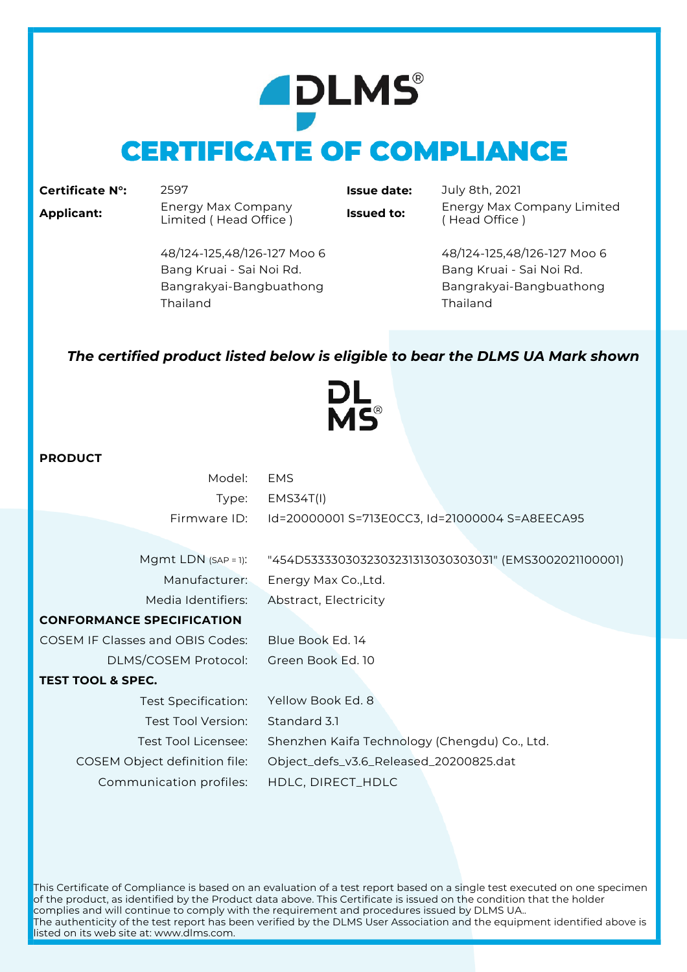# **ADLMS® CERTIFICATE OF COMPLIANCE**

### **Certificate N°:** 2597 **Issue date:** July 8th, 2021

**Applicant:** Energy Max Company

**Issued to:** Energy Max Company Limited ( Head Office )

48/124-125,48/126-127 Moo 6 48/124-125,48/126-127 Moo 6 Bang Kruai - Sai Noi Rd. Bang Kruai - Sai Noi Rd. Bangrakyai-Bangbuathong Bangrakyai-Bangbuathong Thailand Thailand

## *The certified product listed below is eligible to bear the DLMS UA Mark shown*

DL<br>MS®

### **PRODUCT**

| Model:                                  | <b>EMS</b>                                            |
|-----------------------------------------|-------------------------------------------------------|
| Type:                                   | EMS34T(1)                                             |
| Firmware ID:                            | Id=20000001 S=713E0CC3, Id=21000004 S=A8EECA95        |
|                                         |                                                       |
| Mgmt LDN $(SAP = 1)$ :                  | "454D5333303032303231313030303031" (EMS3002021100001) |
| Manufacturer:                           | Energy Max Co., Ltd.                                  |
| Media Identifiers:                      | Abstract, Electricity                                 |
| <b>CONFORMANCE SPECIFICATION</b>        |                                                       |
| <b>COSEM IF Classes and OBIS Codes:</b> | Blue Book Ed. 14                                      |
| DLMS/COSEM Protocol:                    | Green Book Ed. 10                                     |
| <b>TEST TOOL &amp; SPEC.</b>            |                                                       |
| Test Specification:                     | Yellow Book Ed. 8                                     |
| Test Tool Version:                      | Standard 3.1                                          |
| Test Tool Licensee:                     | Shenzhen Kaifa Technology (Chengdu) Co., Ltd.         |
| COSEM Object definition file:           | Object_defs_v3.6_Released_20200825.dat                |
| Communication profiles:                 | HDLC, DIRECT_HDLC                                     |
|                                         |                                                       |

This Certificate of Compliance is based on an evaluation of a test report based on a single test executed on one specimen of the product, as identified by the Product data above. This Certificate is issued on the condition that the holder complies and will continue to comply with the requirement and procedures issued by DLMS UA.. The authenticity of the test report has been verified by the DLMS User Association and the equipment identified above is listed on its web site at: www.dlms.com.